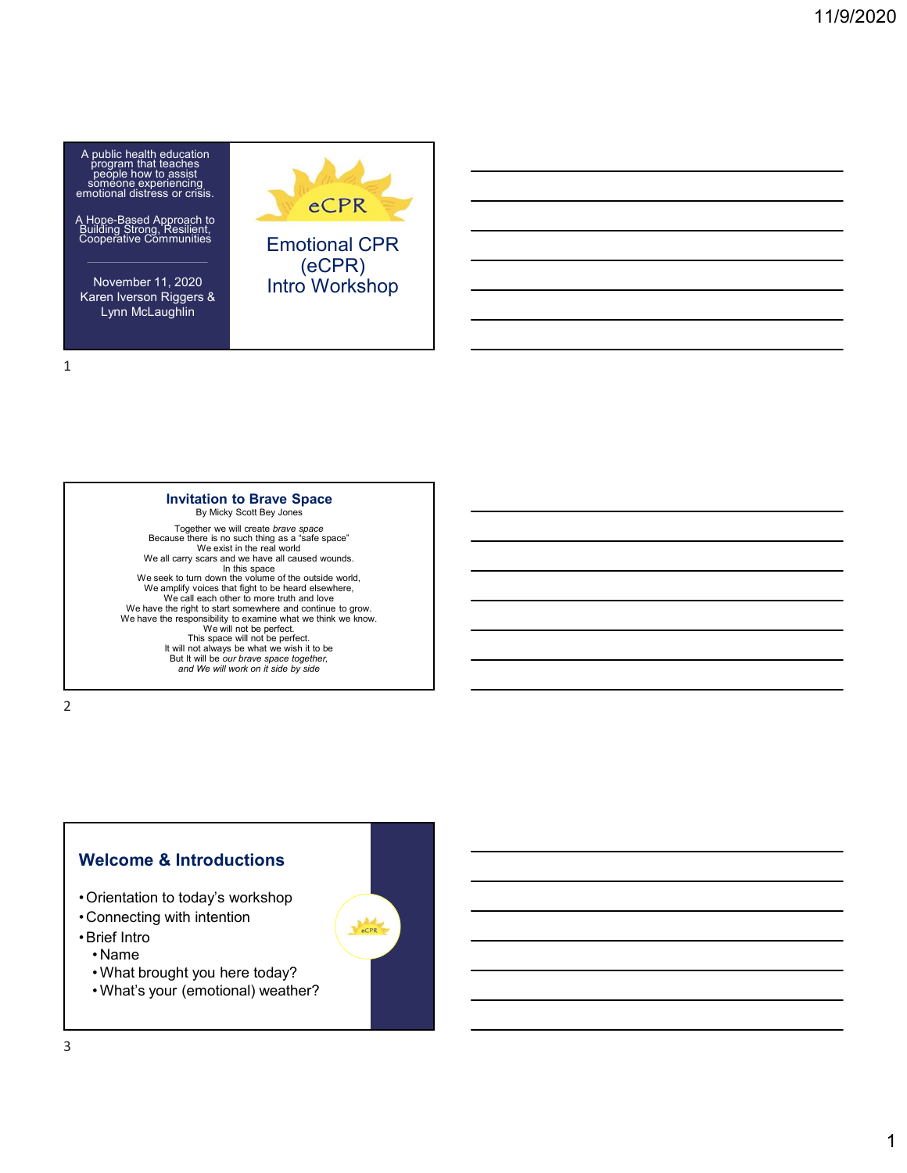

A Hope-Based Approach to Building Strong, Resilient, Cooperative Communities

Karen Iverson Riggers & Lynn McLaughlin





#### Invitation to Brave Space By Micky Scott Bey Jones

Together we will create *brave space*<br>Because there is no such thing as a "safe space"<br>We exist in the real world We all carry scars and we have all caused wounds. In this space<br>We seek to turn down the volume of the outside world, We amplify voices that fight to be heard elsewhere, We call each other to more truth and love We have the right to start somewhere and continue to grow. We have the responsibility to examine what we think we know. We will not be perfect.<br>This space will not be perfect.<br>It will not always be what we wish it to be But It will be our brave space together, and We will work on it side by side  $\frac{1}{2}$  orientation to today's workshop<br>
• Orientation to the signal as a state space<br>
• We all carry sees in this result in the scalar space<br>
• We amply votes in the result of the outside world.<br>
• We amply votes that Because there is no such that are not all caused words.<br>
We sensit in the real world<br>
We are not work and connections<br>
We are the total can fight to be heard effects of<br>
We have the responsible of the more truth and low<br>
W We all carry views and the value of the cutation<br>
We seek to turn down the volume of the cutation will control to the<br>same the region of the cutation of the cutation of the cutation of<br>
We have the region solition to comm We are to take the model in the cluster words and the state of the culture of the cluster windows we call each other to more trunk and conducte of the model in the model in the model in the model in the model of the model We annell fight be head detector and be the set of the set of the set of the set of the set of the set of the set of the set of the set of the set of the set of the set of the set of the set of the set of the set of the s We have the right to starts somewhere and continue to grow.<br>
The will not above that we have the street of the street of the But It will be our Direct and We will work on it side by side<br>
But It will be our Direct and We

2 and 2 and 2 and 2 and 2 and 2 and 2 and 2 and 2 and 2 and 2 and 2 and 2 and 2 and 2 and 2 and 2 and 2 and 2

# Welcome & Introductions

- 
- 

- 
- 
-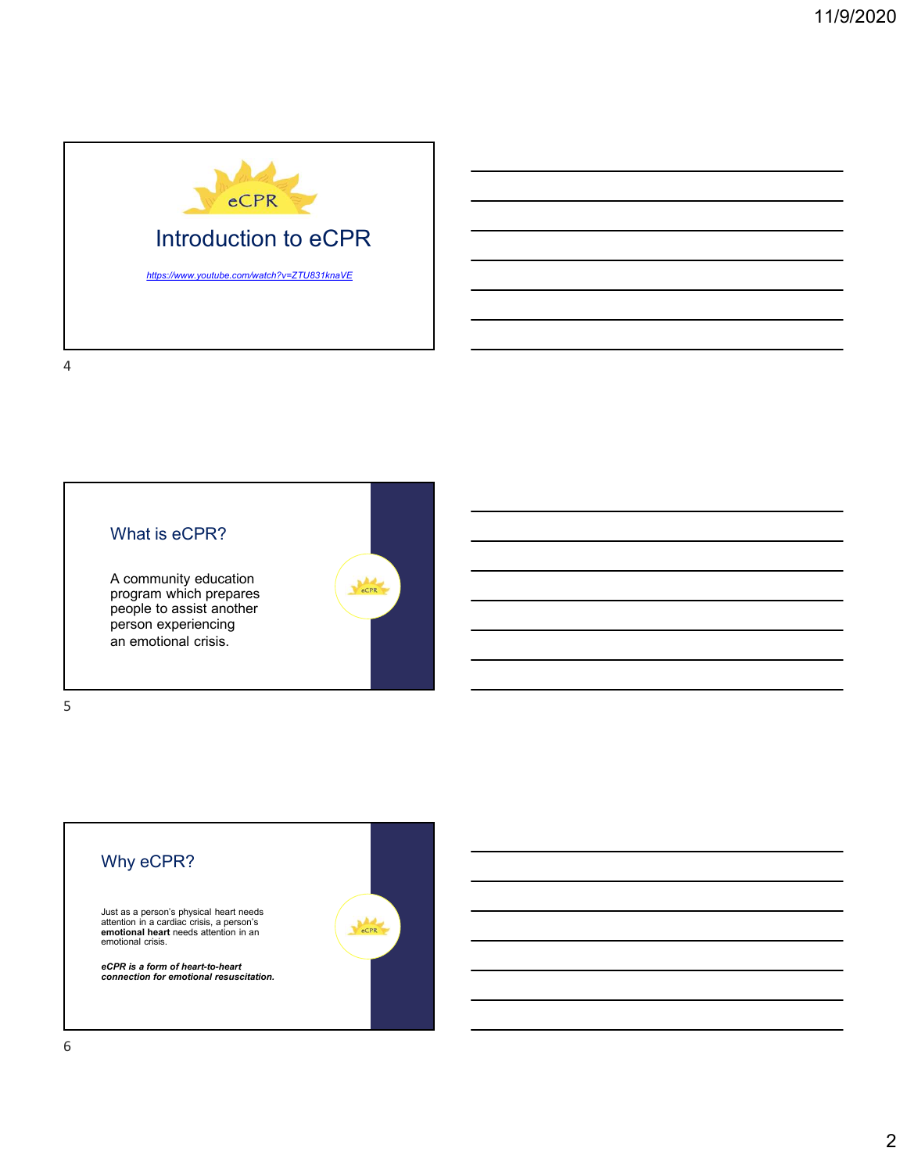



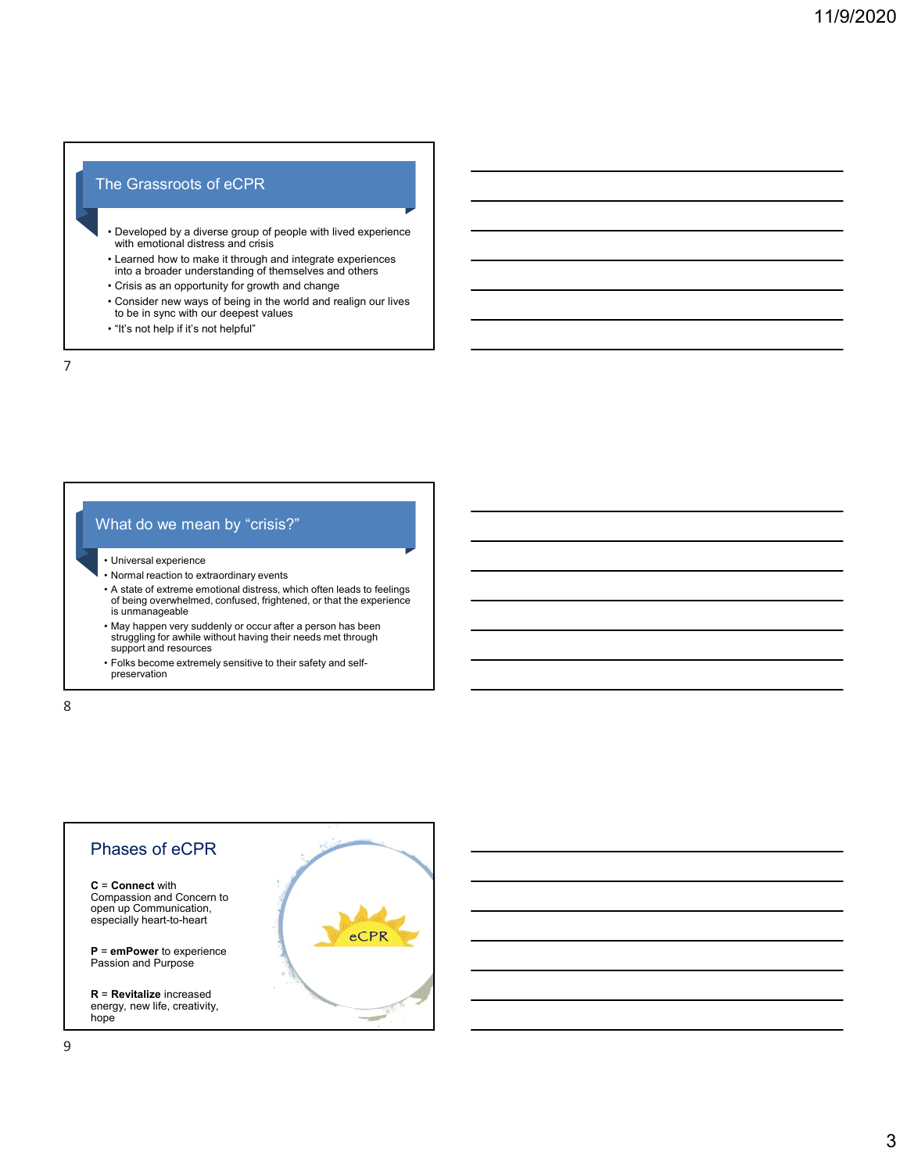# The Grassroots of eCPR

- France Constant of the CPPR<br>• Developed by a diverse group of people with lived experience<br>• Learned how to make it through and integrate experiences<br>• Learned how to make it through and integrate experiences<br>• Corsis as a • Developed by a diverse group of people with lived experience with emotional distress and crisis France Constant of each of example of example and the strength and integrate experience with emotional distress and crisis with emotional distribution of the crisis are charged to the crisis are position of the crisis are France Crisis as an opportunity for growth and relation of the principle of the proportunity for growth and change of the change of the change of the change of the change of the change of the change of the change of the ch France Consider the Constantine of the CPR Consider a complement of the world and realign our lives of the world and realign our lives of consider a world and realign our lives of consider a world and realign our lives to The Caracteroots of eCPR<br>• Developed by a diverse group of people with lived experience<br>with emotional distress and crisis<br>• Learned how to make it through and integrate experiences<br>into a bracter new ways of being in the
- Learned how to make it through and integrate experiences into a broader understanding of themselves and others
- 
- Consider new ways of being in the world and realign our lives to be in sync with our deepest values
- 

#### 7

## What do we mean by "crisis?"

- 
- 
- France Controlling and the set of the state of the state of the state of the state of the state of the state of the state of the state of the state of the state of the state of the state of the state of the state of the st • New the motional distress and crisis<br>• Normal reaction to make it through and integrate experiences<br>• Consider a moppositivity to growth and change<br>• Consider a move ways of being in the world and realign our lives<br>• Con • Developed by a diverse group of people with lived experience<br>
• with emotional distress and crisis<br>
• it can be to make it through and integrate experiences<br>
• Crisis as an opportunity for growth and change<br>
• Crisis of of being overwhelmed, confused, frightened, or that the experience is unmanageable while motional distress and crisis<br>
• Learned how to make it through and integrate experiences<br>
into a broader understanding of themselves and others<br>
• Consider a per swith our despersive like and earlign our lives<br>
• Con and of the streamentary of the minimized to the instant of the streaments of the strength of the streament to the strength of the streament to the strength of the streement of the streement of the streement of the streeme
- struggling for awhile without having their needs met through support and resources
- preservation

8 and 2010 and 2010 and 2010 and 2010 and 2010 and 2010 and 2010 and 2010 and 2010 and 2010 and 2010 and 2010

# Phases of eCPR C = Connect with Compassion and Concern to open up Communication, especially heart-to-heart  $eCPR$ **P** = emPower to experience Passion and Purpose R = Revitalize increased energy, new life, creativity, hope and the state of the state of the state of the state of the state of the state of the state of the state of the state of the state of the state of the state of the state of the state of the state of the state of the s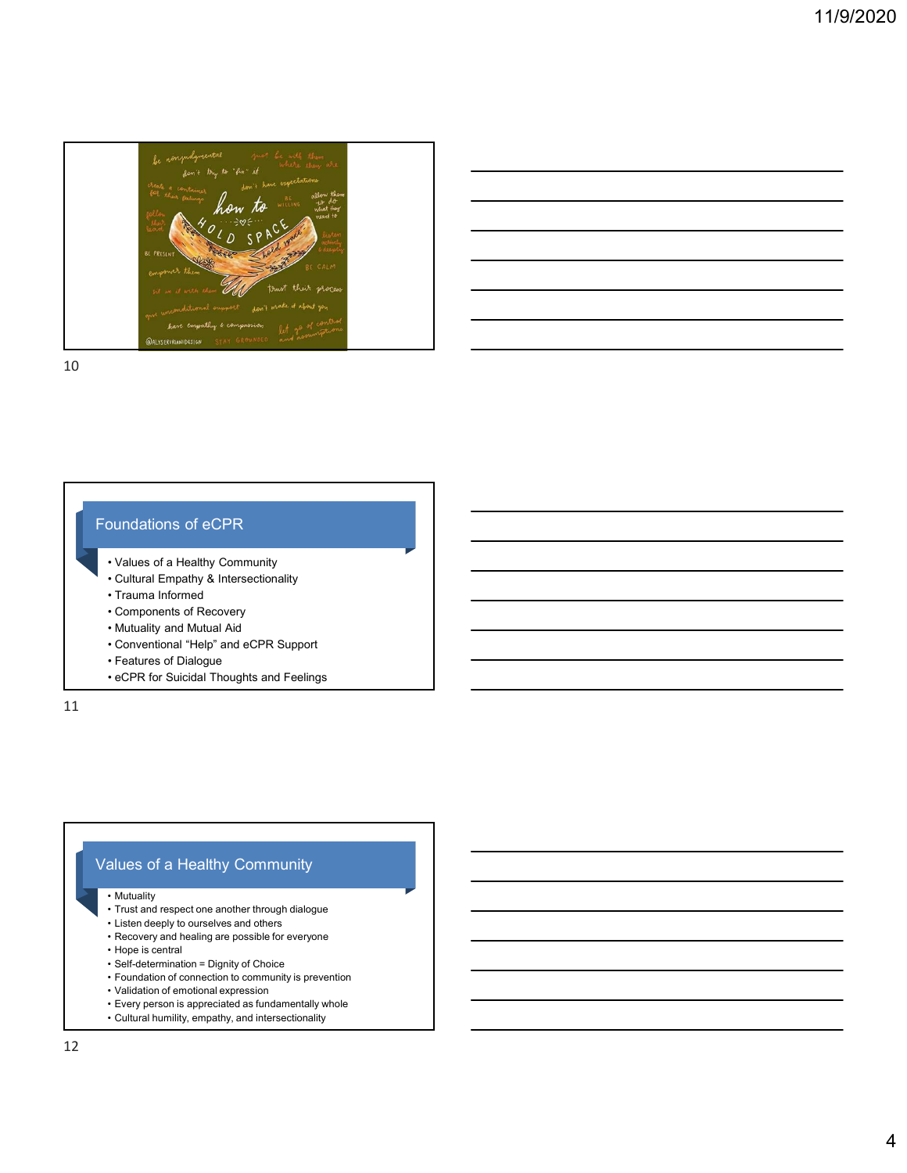

# Foundations of eCPR

- 
- 
- 
- 
- 
- 
- 
- 

11

# Values of a Healthy Community pundations of eCPR<br>
• Values of a Healthy Community<br>
• Cultural Empathy & Intersectionality<br>
• Components of Recovery<br>
• Mutuality and Mutual Aid<br>
• Components of Dialogue<br>
• eCPR for Suicidal Thoughts and Feelings<br>
• eCPR • Values of a Healthy Community<br>• Coltural Empathy & Intersectionality<br>• Comenoments of Recovery<br>• Mutuality and Mutual Aid<br>• Conventional "Heip" and eCPR Support<br>• Features of Dialogue<br>• eCPR for Suicidal Thoughts and Fe • Values of a Healthy Community<br>• Cultural Empathy & Intersectionality<br>• Components of Recovery<br>• Mutuality and Mutual Aid<br>• Conventional "Help" and eCPR Support<br>• Features of Dialogue<br>• eCPR for Suicidal Thoughts and Feel • Cultural Empathy & Intersectionality<br>• Cultural Empathy & Intersectionality<br>• Mutuality and Mutual Aid<br>• Conventional "Help" and cCPR Support<br>• Features of Dialogue<br>• cCPR for Suicidal Thoughts and Feelings<br>• CCPR for Su • Values of a Healthy Community<br>• Cultural Empathy & Intersectionality<br>• Trauma Informed<br>• Mutuality and Mutual Aid<br>• Conventional "Help" and eCPR Support<br>• Features of Dialogue<br>• eCPR for Suicidal Thoughts and Feelings<br> • Cultural Empathy & Intersectionality<br>• Trauma Informed<br>• Components of Recovery<br>• Curventional Mudual Aid<br>• Conventional "Help" and eCPR Support<br>• Features of Dialogue<br>• eCPR for Suicidal Thoughts and Feelings<br>• Trust an • Trauma informed<br>
• Mutuality and Mutual Aid<br>
• Conventional "Helic" and eCPR Support<br>
• Features of Dialogue<br>
• eCPR for Suicidal Thoughts and Feelings<br>
• eCPR for Suicidal Thoughts and Feelings<br>
• Tust and respect one a • Mutuality and Mutual Aid<br>• Conventional "Help" and eCPR Support<br>• Features of Dialogue<br>• eCPR for Suicidal Thoughts and Feelings<br>• eCPR for Suicidal Thoughts and Feelings<br>• Tust and respect one ancher through dialogue<br>• • Conventional "Help" and Mutual Aid<br>• Features of Dialogue<br>• CePR for Suicidal Thoughts and Feelings<br>• eCPR for Suicidal Thoughts and Feelings<br>• eCPR for Suicidal Thoughts and Feelings<br>• Trust and respect one another thro • Muudar and Music and Music and Telep" and eCPR Support<br>• Conventional "Help" and eCPR Support<br>• eCPR for Suicidal Thoughts and Feelings<br>• Thust and despect one another through dialogue<br>• Thist and despect one another t

- 
- 
- 
- 
- 
- 
- 
- 
- 
-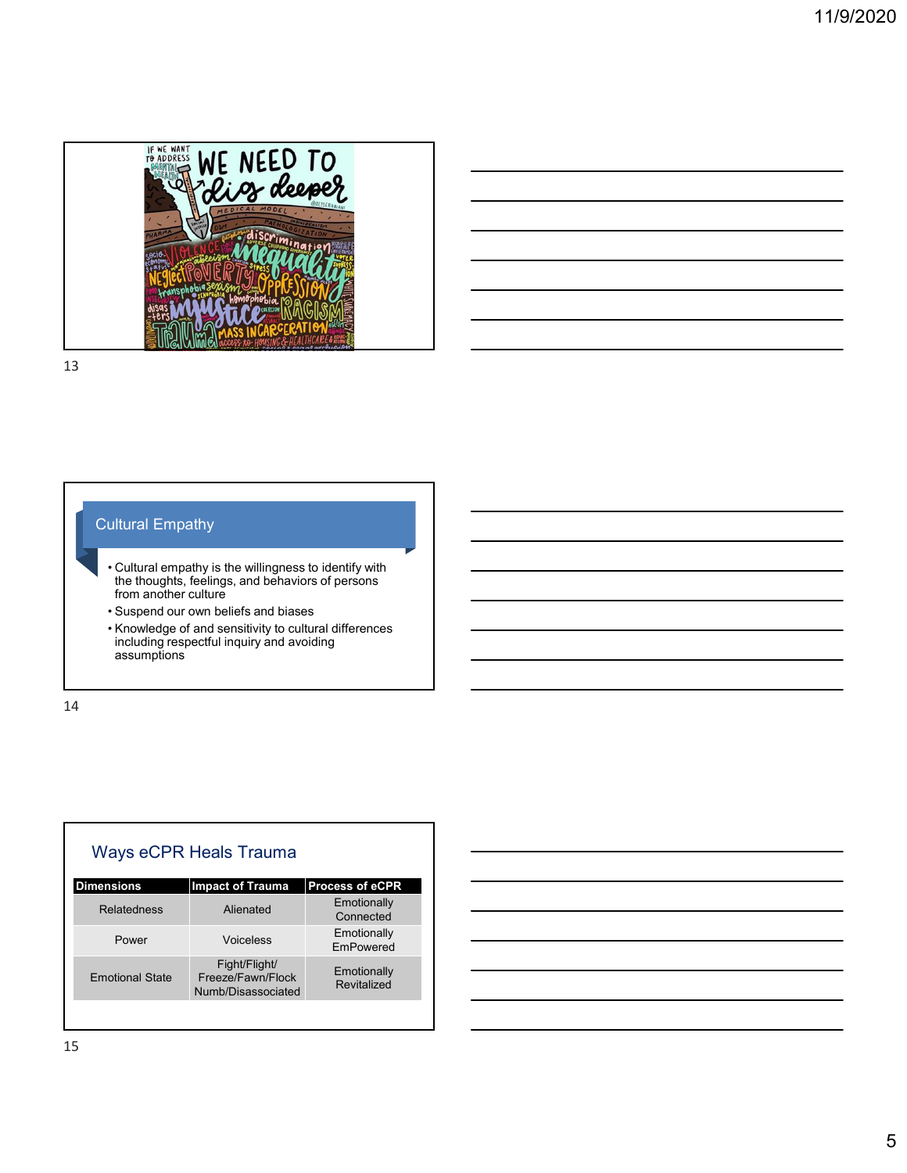

# Cultural Empathy

- the thoughts, feelings, and behaviors of persons from another culture the state of the state of the state of the state of the state of the state of the state o
	-
	- including respectful inquiry and avoiding assumptions

|    | <b>Cultural Empathy</b>                                                                                                                                                                                                                                                                          |                                                          |                            |  |  |  |  |
|----|--------------------------------------------------------------------------------------------------------------------------------------------------------------------------------------------------------------------------------------------------------------------------------------------------|----------------------------------------------------------|----------------------------|--|--|--|--|
|    |                                                                                                                                                                                                                                                                                                  |                                                          |                            |  |  |  |  |
|    | • Cultural empathy is the willingness to identify with<br>the thoughts, feelings, and behaviors of persons<br>from another culture<br>• Suspend our own beliefs and biases<br>• Knowledge of and sensitivity to cultural differences<br>including respectful inquiry and avoiding<br>assumptions |                                                          |                            |  |  |  |  |
|    |                                                                                                                                                                                                                                                                                                  |                                                          |                            |  |  |  |  |
|    |                                                                                                                                                                                                                                                                                                  |                                                          |                            |  |  |  |  |
|    |                                                                                                                                                                                                                                                                                                  |                                                          |                            |  |  |  |  |
| 14 |                                                                                                                                                                                                                                                                                                  |                                                          |                            |  |  |  |  |
|    |                                                                                                                                                                                                                                                                                                  |                                                          |                            |  |  |  |  |
|    |                                                                                                                                                                                                                                                                                                  |                                                          |                            |  |  |  |  |
|    |                                                                                                                                                                                                                                                                                                  |                                                          |                            |  |  |  |  |
|    |                                                                                                                                                                                                                                                                                                  |                                                          |                            |  |  |  |  |
|    |                                                                                                                                                                                                                                                                                                  | Ways eCPR Heals Trauma                                   |                            |  |  |  |  |
|    | <b>Dimensions</b>                                                                                                                                                                                                                                                                                | <b>Impact of Trauma</b>                                  | Process of eCPR            |  |  |  |  |
|    | <b>Relatedness</b>                                                                                                                                                                                                                                                                               | Alienated                                                | Emotionally<br>Connected   |  |  |  |  |
|    | Power                                                                                                                                                                                                                                                                                            | Voiceless                                                | Emotionally<br>EmPowered   |  |  |  |  |
|    | <b>Emotional State</b>                                                                                                                                                                                                                                                                           | Fight/Flight/<br>Freeze/Fawn/Flock<br>Numb/Disassociated | Emotionally<br>Revitalized |  |  |  |  |
|    |                                                                                                                                                                                                                                                                                                  |                                                          |                            |  |  |  |  |
|    |                                                                                                                                                                                                                                                                                                  |                                                          |                            |  |  |  |  |

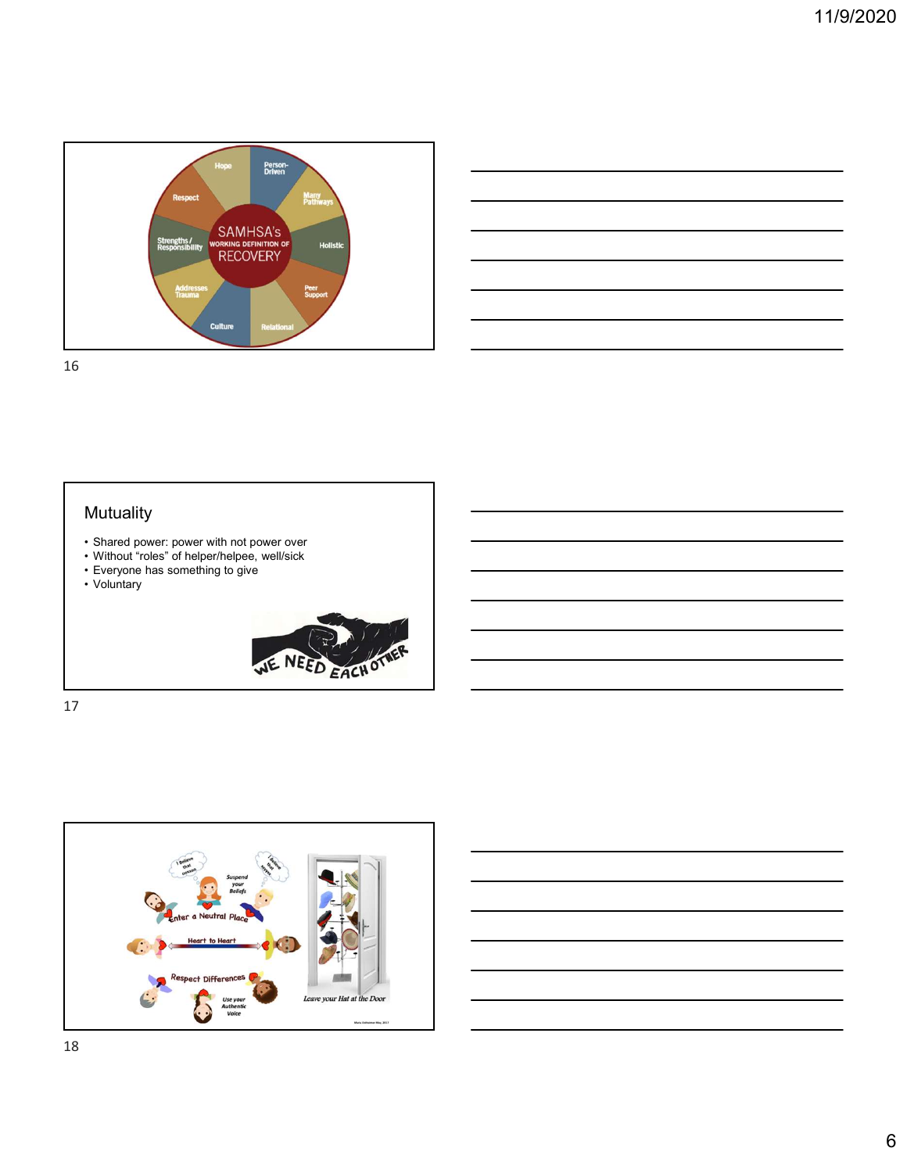











- 
- 
- 
- 
- 
- 
- 
- 
- 
- 
- 
- 
- 
- 
- 







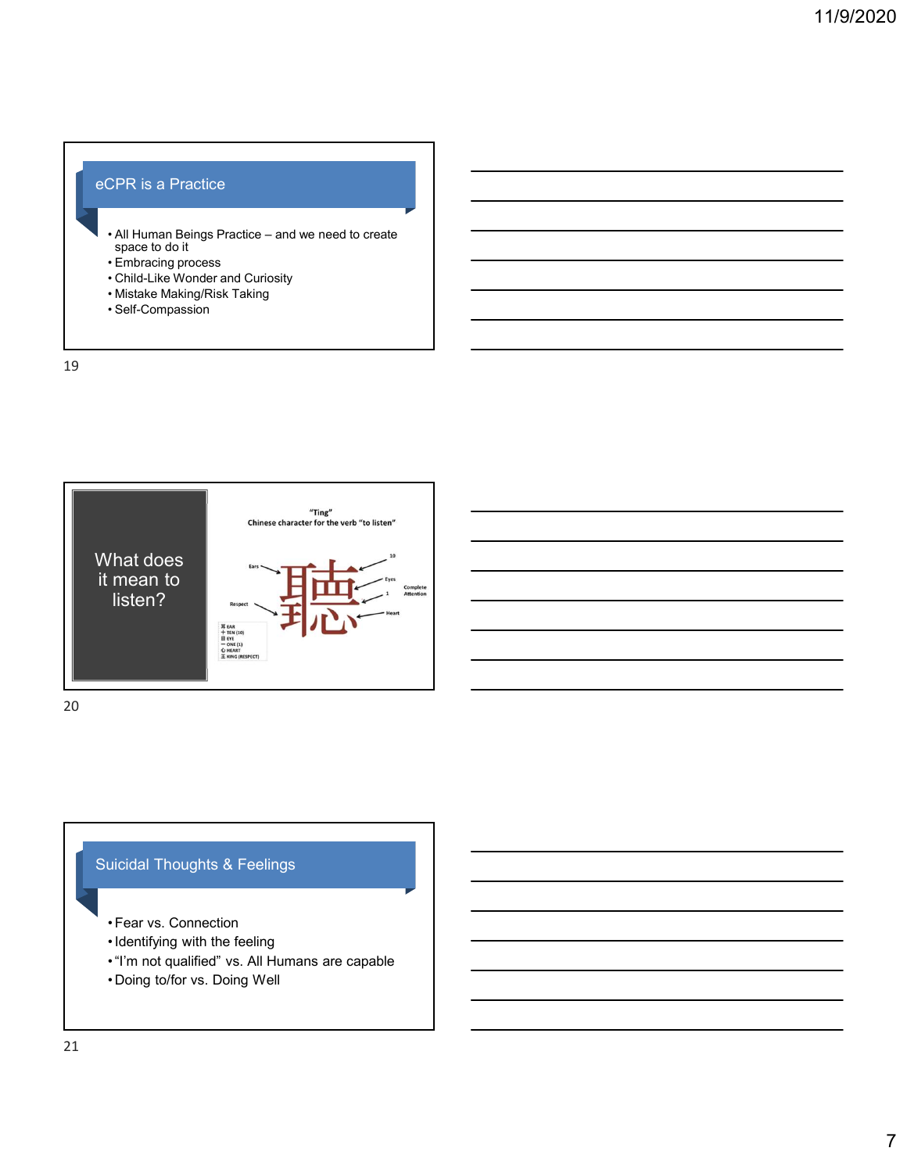# eCPR is a Practice

- PPR is a Practice<br>• All Human Beings Practice and we need to create<br>• Space to do it<br>• Embracing process<br>• Child-Like Waking/Risk Taking<br>• Mistake Making/Risk Taking<br>• Self-Compassion • All Human Beings Practice – and we need to create<br>space to do it<br>• Embracing process CPR is a Practice<br>
• All Human Beings Practice – and we need to create<br>
• Space to do it<br>
• Embracing process<br>• Child-Like Wonder and Curiosity<br>• Mistake Making/Risk Taking<br>• Self-Compassion **CPR** is a Practice<br> **• All Human Beings Practice – and we need to create**<br>
• Embracing process<br>
• Child-Like Wonder and Curiosity<br>
• Mistake Making/Risk Taking<br>
• Self-Compassion<br>
• Self-Compassion CPR is a Practice<br>• All Human Beings Practice – and we need to create<br>• space to do it<br>• Embracing process<br>• Child-Like Wonder and Curiosity<br>• Mistake Making/Risk Taking<br>• Self-Compassion<br>• CPR is a Practice<br>
• All Human Beings Practice – and we need to create<br>
space to do tit<br>
• Embracing process<br>
• Child-Like Wonder and Curiosity<br>• Mistake Making/Risk Taking<br>• Self-Compassion<br>
• Self-Compassion
	-
- 
- 
- 

19



20

# Suicidal Thoughts & Feelings

- 
- 
- 
-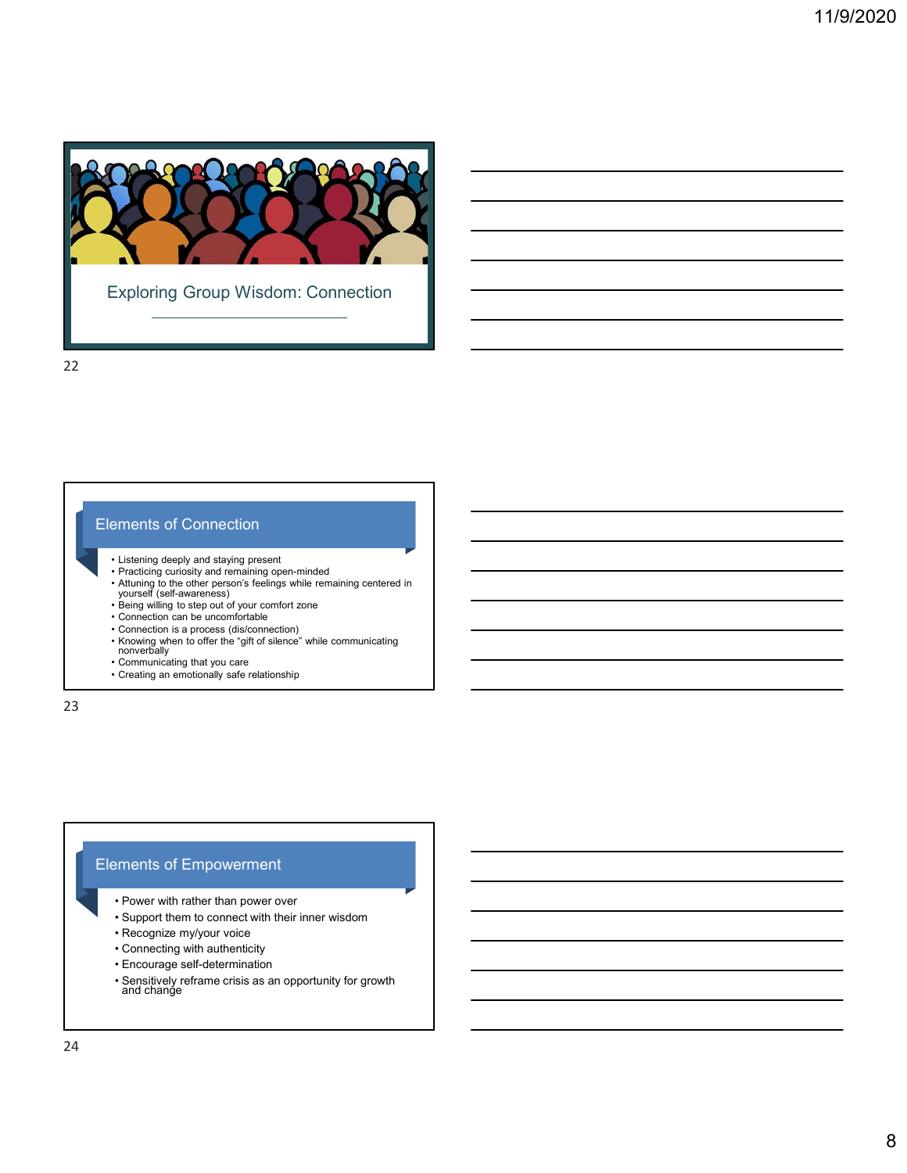

## Elements of Connection

- Listening deeply and staying present
- Practicing curiosity and remaining open-minded **the act of the control of the control of the control of the control of the control of the control of the control of the control of the control of the control of the control**
- Attuning to the other person's feelings while remaining centered in yourself (self-awareness) Fractising deeply and staying present<br>
Listening deeply and staying present<br>
Patation go the other person's feeling while remaining centered in<br>
Attuning to the drive rearross) feeling any will remaining centered in<br>
Seing • Listening deeply and staying present<br>• Although Che other persons includes white remaining centered in<br>• Narral (see Fact awareness)<br>• Support the connect with the connect with the connect with the spin of since the spin Listening deeply and staying present<br>
Practicing curves and femaling open-minded<br>
Pattnew (the downerses of your common zone<br>
Connection can be uncomfortable<br>
Connection can be uncomfortable<br>
Connection can be uncomfortabl Examing website of the maximum of the mainling operating or an example of the maining centered in<br>
yourself (self-wareness) on a feeling with eremaining centered in<br>
Seing willing to step out of your connections<br>
Connectio Attuning to the other person's feelings while remaining centered in<br>
yourself (self-awareness)<br>
Being willing to step out dyour communication<br>
Connection is a process (sielconeschion)<br>
Connection can be uncomitatable<br>
Conn
- Being willing to step out of your comfort zone
- Connection can be uncomfortable
- 
- Connection is a process (dis/connection)<br>• Knowing when to offer the "gift of silence" while communicating<br>nonverbally
- Communicating that you care the state of the state of the state of the state of the state of the state of the state of the state of the state of the state of the state of the state of the state of the state of the state
- Creating an emotionally safe relationship

23

# Elements of Empowerment

- 
- 
- 
- 
- 
- Fore-measts<br>
Feing willing to step out of your comfort zone<br>
Comection can be uncomrotedially<br>
Comection is a process (disconnection)<br>
Comection is a process (disconnection)<br>
Communicating that you care<br>
Creating an emotio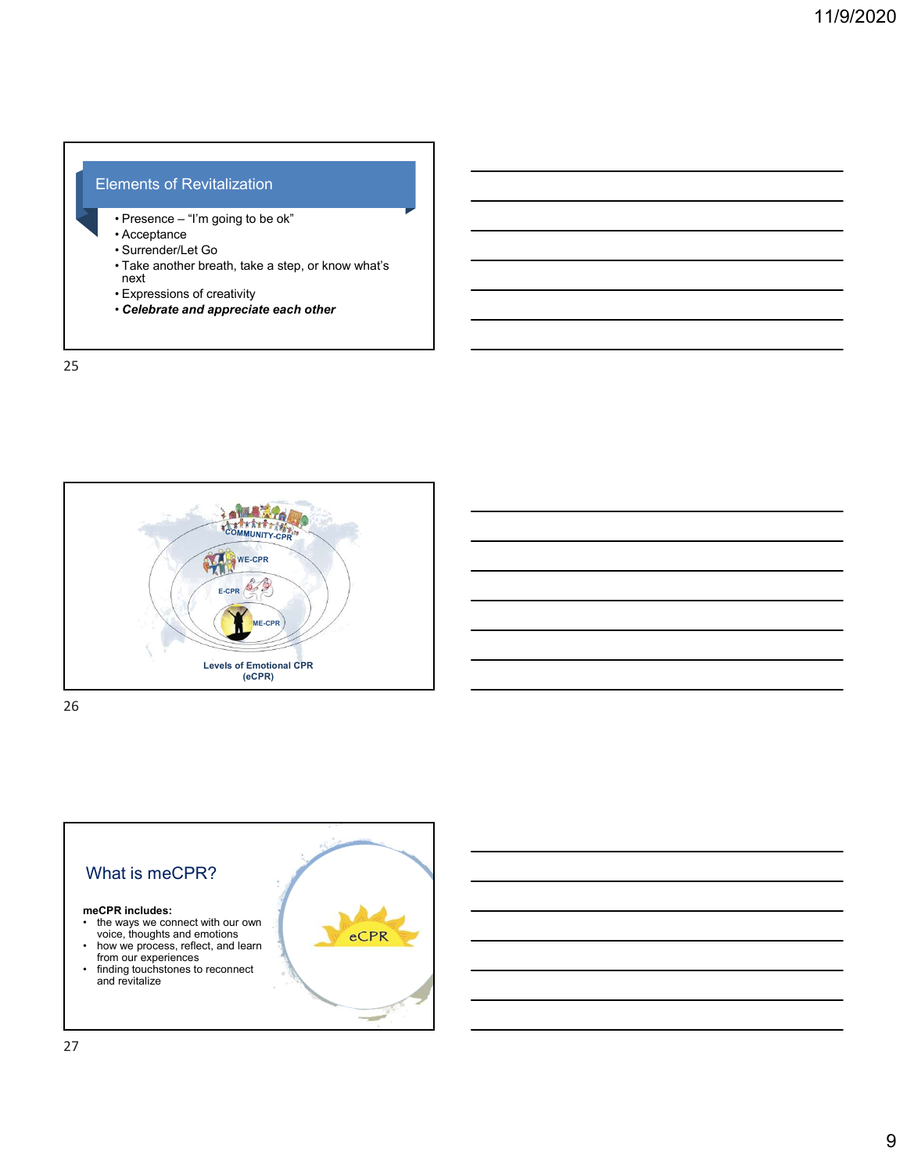## Elements of Revitalization

- 
- 
- 
- ements of Revitalization<br>• Presence "I'm going to be ok"<br>• Acceptance<br>• Surrender/Let Go<br>• Take another breath, take a step, or know what's<br>• Expressions of creativity<br>• Celebrate and appreciate each other ements of Revitalization<br>
• Presence – "I'm going to be ok"<br>
• Acceptance<br>
• Surrender/Let Go<br>
• Take another breath, take a step, or know what's<br>
• Expressions of creativity<br>
• Celebrate and appreciate each other ennents of Revitalization<br>
• Presence – "I'm going to be ok"<br>
• Acceptance<br>
• Surrender/Let Go<br>
• Take another breath, take a step, or know what's<br>
• Expressions of creativity<br>
• Celebrate and appreciate each other<br>
• Frements of Revitalization<br>• Presence – "I'm going to be ok"<br>• Acceptance<br>• Surrender/Let Go<br>• Take another breath, take a step, or know what's<br>• Expressions of creativity<br>• Celebrate and appreciate each other<br>• Celebrate • Take another breath, take a step, or know what's next ements of Revitalization<br>• Presence – "I'm going to be ok"<br>• Surencler/Let Go<br>• Surencler/Let Go<br>• Take another breath, take a step, or know what's<br>• Expressions of creativity<br>• Celebrate and appreciate each other<br>• Celebr
- 
- Celebrate and appreciate each other

25



26 and the contract of the contract of the contract of the contract of the contract of the contract of the contract of the contract of the contract of the contract of the contract of the contract of the contract of the con

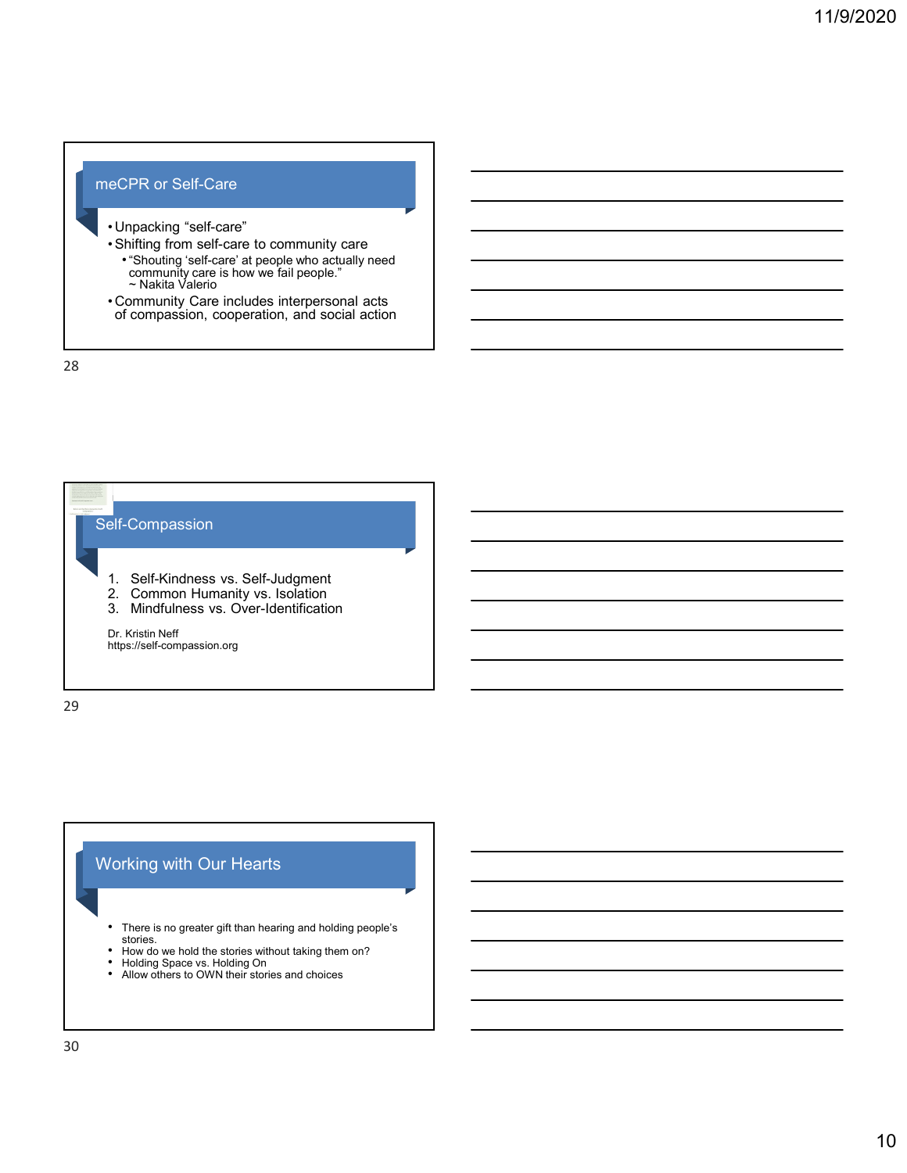- -
- meCPR or Self-Care<br>
 Unpacking "self-care"<br>
 Shifting from self-care to community care<br>
 "Shouting 'self-care' at people who actually need<br>
community care is how we fail people." eCPR or Self-Care<br>
• Unpacking "self-care"<br>
• Shifting from self-care to community care<br>
• "Shifting from self-care to community care<br>
• "Shouting" self-care at people who actually need<br>
— ^ Nakita Valerio<br>
• Community Car eCPR or Self-Care<br>• Unpacking "self-care"<br>• Shifting from self-care to community care<br>• "Shouting 'self-care' at people who actually need<br>• "Nakita Valerio"<br>• Community Care includes interpersonal acts<br>of compassion, coope •"Shouting 'self-care' at people who actually need community care is how we fail people." ~ Nakita Valerio eCPR or Self-Care<br>
• Unpacking "self-care"<br>
• Shifting from self-care to community care<br>
• "Shifting from self-care at people who actually need<br>
• "Ommunity Care is how we fail people."<br>
• Community Care includes interpers
	- Community Care includes interpersonal acts<br>of compassion, cooperation, and social action



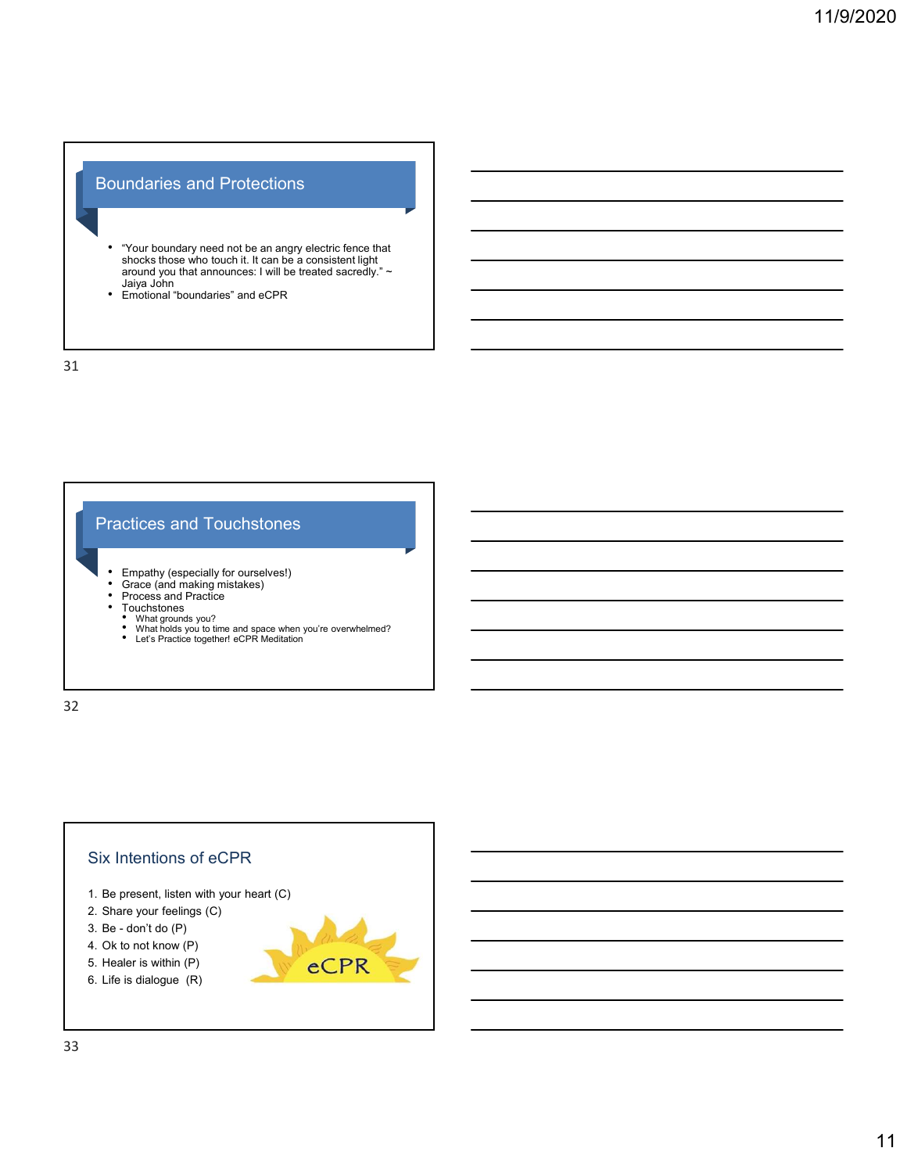# Boundaries and Protections

- "Your boundary need not be an angry electric fence that shocks those who touch it. It can be a consistent light around you that announces: I will be treated sacredly." ~ Indianaires and Protections<br>The amount of the an angly electric fence that<br>shocks those who touch it. It can be a consistent light<br>around you that announces: I will be treated sacredy."<br>Alays John<br>Finotional "boundaries" a economic metals of the main of the constant of the main of the constant of the main of the main of the constant of the metal sacredy.<br>
• Emotional "boundaries" and cOPR<br>
• Emotional "boundaries" and cOPR<br>
• Emotional "boun
- Emotional "boundaries" and eCPR

31

# Practices and Touchstones

- Empathy (especially for ourselves!) Grace (and making mistakes) Process and Practice
- 
- 
- 
- Touchstones What grounds you? What holds you to time and space when you're overwhelmed?
	-